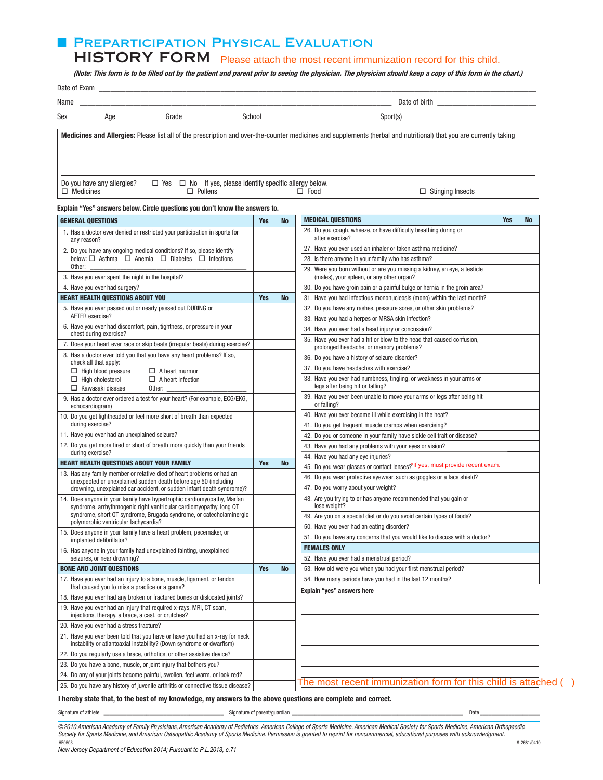## **E PREPARTICIPATION PHYSICAL EVALUATION**

HISTORY FORM Please attach the most recent immunization record for this child.

**(Note: This form is to be filled out by the patient and parent prior to seeing the physician. The physician should keep a copy of this form in the chart.)**

| Name                                           | <u> 1980 - Antonio Alemania, prima postala prestava de la provincia de la provincia de la provincia de la provincia</u> |                                                                      |             |                                                                                                                                                                    |  |
|------------------------------------------------|-------------------------------------------------------------------------------------------------------------------------|----------------------------------------------------------------------|-------------|--------------------------------------------------------------------------------------------------------------------------------------------------------------------|--|
|                                                | Sex Age Grade                                                                                                           |                                                                      |             |                                                                                                                                                                    |  |
|                                                |                                                                                                                         |                                                                      |             | Medicines and Allergies: Please list all of the prescription and over-the-counter medicines and supplements (herbal and nutritional) that you are currently taking |  |
| Do you have any allergies?<br>$\Box$ Medicines | $\Box$ Pollens                                                                                                          | $\Box$ Yes $\Box$ No If yes, please identify specific allergy below. | $\Box$ Food | $\Box$ Stinging Insects                                                                                                                                            |  |

### Explain "Yes" answers below. Circle questions you don't know the answers to.

| <b>GENERAL QUESTIONS</b>                                                                                                                            |            | <b>No</b>                                                                            | <b>MEDICAL QUESTIONS</b>                                                                                               | <b>Yes</b> | <b>No</b> |
|-----------------------------------------------------------------------------------------------------------------------------------------------------|------------|--------------------------------------------------------------------------------------|------------------------------------------------------------------------------------------------------------------------|------------|-----------|
| 1. Has a doctor ever denied or restricted your participation in sports for<br>any reason?                                                           |            |                                                                                      | 26. Do you cough, wheeze, or have difficulty breathing during or<br>after exercise?                                    |            |           |
| 2. Do you have any ongoing medical conditions? If so, please identify                                                                               |            |                                                                                      | 27. Have you ever used an inhaler or taken asthma medicine?                                                            |            |           |
| below: □ Asthma □ Anemia □ Diabetes □ Infections                                                                                                    |            |                                                                                      | 28. Is there anyone in your family who has asthma?                                                                     |            |           |
| Other:<br>3. Have you ever spent the night in the hospital?                                                                                         |            |                                                                                      | 29. Were you born without or are you missing a kidney, an eye, a testicle<br>(males), your spleen, or any other organ? |            |           |
| 4. Have you ever had surgery?                                                                                                                       |            |                                                                                      | 30. Do you have groin pain or a painful bulge or hernia in the groin area?                                             |            |           |
| <b>HEART HEALTH QUESTIONS ABOUT YOU</b>                                                                                                             | <b>Yes</b> | <b>No</b><br>31. Have you had infectious mononucleosis (mono) within the last month? |                                                                                                                        |            |           |
| 5. Have you ever passed out or nearly passed out DURING or                                                                                          |            |                                                                                      | 32. Do you have any rashes, pressure sores, or other skin problems?                                                    |            |           |
| AFTER exercise?                                                                                                                                     |            |                                                                                      | 33. Have you had a herpes or MRSA skin infection?                                                                      |            |           |
| 6. Have you ever had discomfort, pain, tightness, or pressure in your<br>chest during exercise?                                                     |            |                                                                                      | 34. Have you ever had a head injury or concussion?                                                                     |            |           |
| 7. Does your heart ever race or skip beats (irregular beats) during exercise?                                                                       |            |                                                                                      | 35. Have you ever had a hit or blow to the head that caused confusion,                                                 |            |           |
| 8. Has a doctor ever told you that you have any heart problems? If so,                                                                              |            |                                                                                      | prolonged headache, or memory problems?                                                                                |            |           |
| check all that apply:                                                                                                                               |            |                                                                                      | 36. Do you have a history of seizure disorder?<br>37. Do you have headaches with exercise?                             |            |           |
| $\Box$ High blood pressure<br>$\Box$ A heart murmur<br>$\Box$ High cholesterol<br>$\Box$ A heart infection                                          |            |                                                                                      | 38. Have you ever had numbness, tingling, or weakness in your arms or                                                  |            |           |
| $\Box$ Kawasaki disease<br>Other:                                                                                                                   |            |                                                                                      | legs after being hit or falling?                                                                                       |            |           |
| 9. Has a doctor ever ordered a test for your heart? (For example, ECG/EKG,<br>echocardiogram)                                                       |            |                                                                                      | 39. Have you ever been unable to move your arms or legs after being hit<br>or falling?                                 |            |           |
| 10. Do you get lightheaded or feel more short of breath than expected                                                                               |            |                                                                                      | 40. Have you ever become ill while exercising in the heat?                                                             |            |           |
| during exercise?                                                                                                                                    |            |                                                                                      | 41. Do you get frequent muscle cramps when exercising?                                                                 |            |           |
| 11. Have you ever had an unexplained seizure?                                                                                                       |            |                                                                                      | 42. Do you or someone in your family have sickle cell trait or disease?                                                |            |           |
| 12. Do you get more tired or short of breath more quickly than your friends                                                                         |            |                                                                                      | 43. Have you had any problems with your eyes or vision?                                                                |            |           |
| during exercise?                                                                                                                                    |            |                                                                                      | 44. Have you had any eye injuries?                                                                                     |            |           |
| <b>HEART HEALTH QUESTIONS ABOUT YOUR FAMILY</b>                                                                                                     |            | <b>No</b>                                                                            | 45. Do you wear glasses or contact lenses? <sup>*If</sup> yes, must provide recent exam                                |            |           |
| 13. Has any family member or relative died of heart problems or had an<br>unexpected or unexplained sudden death before age 50 (including           |            |                                                                                      | 46. Do you wear protective eyewear, such as goggles or a face shield?                                                  |            |           |
| drowning, unexplained car accident, or sudden infant death syndrome)?                                                                               |            |                                                                                      | 47. Do you worry about your weight?                                                                                    |            |           |
| 14. Does anyone in your family have hypertrophic cardiomyopathy, Marfan<br>syndrome, arrhythmogenic right ventricular cardiomyopathy, long QT       |            |                                                                                      | 48. Are you trying to or has anyone recommended that you gain or<br>lose weight?                                       |            |           |
| syndrome, short QT syndrome, Brugada syndrome, or catecholaminergic                                                                                 |            |                                                                                      | 49. Are you on a special diet or do you avoid certain types of foods?                                                  |            |           |
| polymorphic ventricular tachycardia?                                                                                                                |            |                                                                                      | 50. Have you ever had an eating disorder?                                                                              |            |           |
| 15. Does anyone in your family have a heart problem, pacemaker, or<br>implanted defibrillator?                                                      |            |                                                                                      | 51. Do you have any concerns that you would like to discuss with a doctor?                                             |            |           |
| 16. Has anyone in your family had unexplained fainting, unexplained                                                                                 |            |                                                                                      | <b>FEMALES ONLY</b>                                                                                                    |            |           |
| seizures, or near drowning?                                                                                                                         |            |                                                                                      | 52. Have you ever had a menstrual period?                                                                              |            |           |
| <b>BONE AND JOINT QUESTIONS</b>                                                                                                                     | <b>Yes</b> | <b>No</b>                                                                            | 53. How old were you when you had your first menstrual period?                                                         |            |           |
| 17. Have you ever had an injury to a bone, muscle, ligament, or tendon<br>that caused you to miss a practice or a game?                             |            |                                                                                      | 54. How many periods have you had in the last 12 months?                                                               |            |           |
| 18. Have you ever had any broken or fractured bones or dislocated joints?                                                                           |            |                                                                                      | Explain "yes" answers here                                                                                             |            |           |
| 19. Have you ever had an injury that required x-rays, MRI, CT scan,<br>injections, therapy, a brace, a cast, or crutches?                           |            |                                                                                      |                                                                                                                        |            |           |
| 20. Have you ever had a stress fracture?                                                                                                            |            |                                                                                      |                                                                                                                        |            |           |
| 21. Have you ever been told that you have or have you had an x-ray for neck<br>instability or atlantoaxial instability? (Down syndrome or dwarfism) |            |                                                                                      |                                                                                                                        |            |           |
| 22. Do you regularly use a brace, orthotics, or other assistive device?                                                                             |            |                                                                                      |                                                                                                                        |            |           |
| 23. Do you have a bone, muscle, or joint injury that bothers you?                                                                                   |            |                                                                                      |                                                                                                                        |            |           |
| 24. Do any of your joints become painful, swollen, feel warm, or look red?                                                                          |            |                                                                                      |                                                                                                                        |            |           |
| 25. Do you have any history of juvenile arthritis or connective tissue disease?                                                                     |            |                                                                                      | The most recent immunization form for this child is attached ()                                                        |            |           |

## I hereby state that, to the best of my knowledge, my answers to the above questions are complete and correct.

Signature of athlete \_\_\_\_\_\_\_\_\_\_\_\_\_\_\_\_\_\_\_\_\_\_\_\_\_\_\_\_\_\_\_\_\_\_\_\_\_\_\_\_\_\_ Signature of parent/guardian \_\_\_\_\_\_\_\_\_\_\_\_\_\_\_\_\_\_\_\_\_\_\_\_\_\_\_\_\_\_\_\_\_\_\_\_\_\_\_\_\_\_\_\_\_\_\_\_\_\_\_\_\_\_\_\_\_\_\_\_ Date \_\_\_\_\_\_\_\_\_\_\_\_\_\_\_\_\_\_\_\_\_

©2010 American Academy of Family Physicians, American Academy of Pediatrics, American College of Sports Medicine, American Medical Society for Sports Medicine, American Orthopaedic<br>Society for Sports Medicine, and American HE0503 9-2681/0410 *New Jersey Department of Education 2014; Pursuant to P.L.2013, c.71*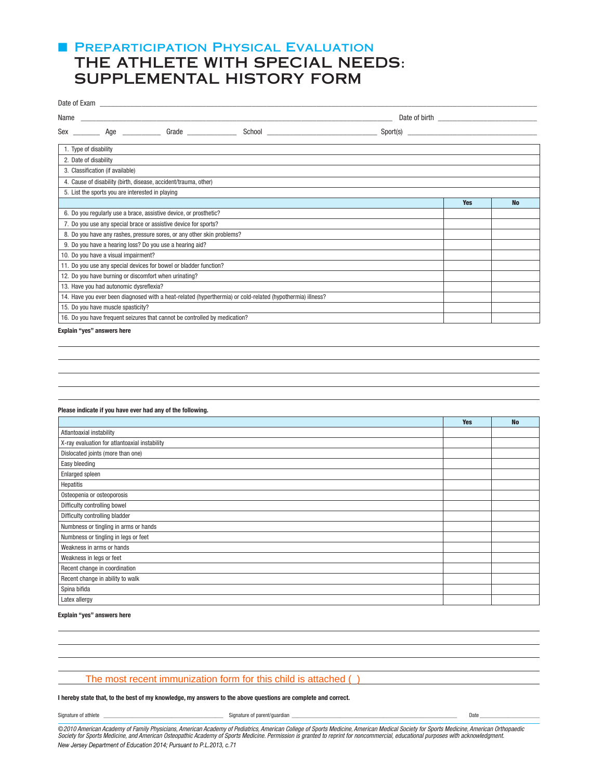# **F PREPARTICIPATION PHYSICAL EVALUATION** THE ATHLETE WITH SPECIAL NEEDS: SUPPLEMENTAL HISTORY FORM

| Name                                                                                                       |            |           |  |  |  |  |  |
|------------------------------------------------------------------------------------------------------------|------------|-----------|--|--|--|--|--|
| Sex Age Grade                                                                                              |            |           |  |  |  |  |  |
| 1. Type of disability                                                                                      |            |           |  |  |  |  |  |
| 2. Date of disability                                                                                      |            |           |  |  |  |  |  |
| 3. Classification (if available)                                                                           |            |           |  |  |  |  |  |
| 4. Cause of disability (birth, disease, accident/trauma, other)                                            |            |           |  |  |  |  |  |
| 5. List the sports you are interested in playing                                                           |            |           |  |  |  |  |  |
|                                                                                                            | <b>Yes</b> | <b>No</b> |  |  |  |  |  |
| 6. Do you regularly use a brace, assistive device, or prosthetic?                                          |            |           |  |  |  |  |  |
| 7. Do you use any special brace or assistive device for sports?                                            |            |           |  |  |  |  |  |
| 8. Do you have any rashes, pressure sores, or any other skin problems?                                     |            |           |  |  |  |  |  |
| 9. Do you have a hearing loss? Do you use a hearing aid?                                                   |            |           |  |  |  |  |  |
| 10. Do you have a visual impairment?                                                                       |            |           |  |  |  |  |  |
| 11. Do you use any special devices for bowel or bladder function?                                          |            |           |  |  |  |  |  |
| 12. Do you have burning or discomfort when urinating?                                                      |            |           |  |  |  |  |  |
| 13. Have you had autonomic dysreflexia?                                                                    |            |           |  |  |  |  |  |
| 14. Have you ever been diagnosed with a heat-related (hyperthermia) or cold-related (hypothermia) illness? |            |           |  |  |  |  |  |
| 15. Do you have muscle spasticity?                                                                         |            |           |  |  |  |  |  |
| 16. Do you have frequent seizures that cannot be controlled by medication?                                 |            |           |  |  |  |  |  |
|                                                                                                            |            |           |  |  |  |  |  |

Explain "yes" answers here

## Please indicate if you have ever had any of the following.

|                                               | <b>Yes</b> | <b>No</b> |
|-----------------------------------------------|------------|-----------|
| Atlantoaxial instability                      |            |           |
| X-ray evaluation for atlantoaxial instability |            |           |
| Dislocated joints (more than one)             |            |           |
| Easy bleeding                                 |            |           |
| Enlarged spleen                               |            |           |
| Hepatitis                                     |            |           |
| Osteopenia or osteoporosis                    |            |           |
| Difficulty controlling bowel                  |            |           |
| Difficulty controlling bladder                |            |           |
| Numbness or tingling in arms or hands         |            |           |
| Numbness or tingling in legs or feet          |            |           |
| Weakness in arms or hands                     |            |           |
| Weakness in legs or feet                      |            |           |
| Recent change in coordination                 |            |           |
| Recent change in ability to walk              |            |           |
| Spina bifida                                  |            |           |
| Latex allergy                                 |            |           |

### Explain "yes" answers here

## The most recent immunization form for this child is attached ( )

## I hereby state that, to the best of my knowledge, my answers to the above questions are complete and correct.

Signature of athlete \_\_\_\_\_\_\_\_\_\_\_\_\_\_\_\_\_\_\_\_\_\_\_\_\_\_\_\_\_\_\_\_\_\_\_\_\_\_\_\_\_\_ Signature of parent/guardian \_\_\_\_\_\_\_\_\_\_\_\_\_\_\_\_\_\_\_\_\_\_\_\_\_\_\_\_\_\_\_\_\_\_\_\_\_\_\_\_\_\_\_\_\_\_\_\_\_\_\_\_\_\_\_\_\_\_ Date \_\_\_\_\_\_\_\_\_\_\_\_\_\_\_\_\_\_\_\_\_

©2010 American Academy of Family Physicians, American Academy of Pediatrics, American College of Sports Medicine, American Medical Society for Sports Medicine, American Orthopaedic Society for Sports Medicine, and American Osteopathic Academy of Sports Medicine. Permission is granted to reprint for noncommercial, educational purposes with acknowledgment. *New Jersey Department of Education 2014; Pursuant to P.L.2013, c.71*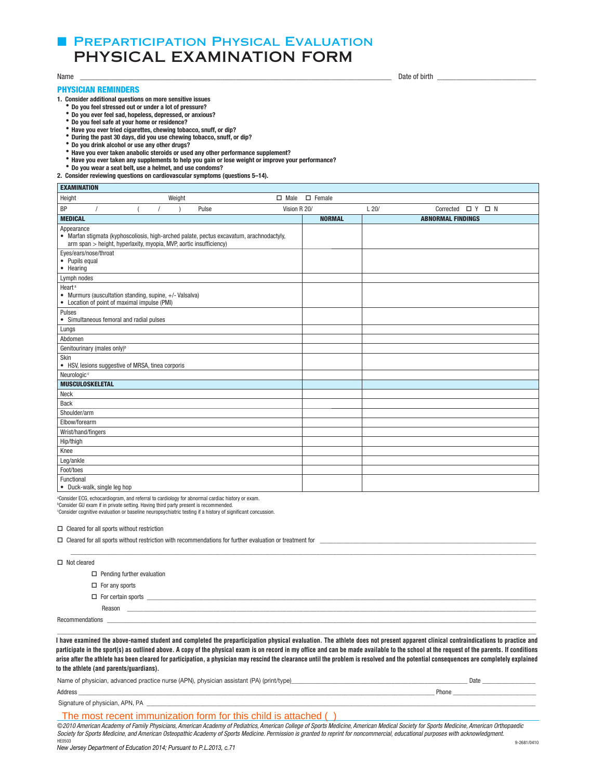# **E PREPARTICIPATION PHYSICAL EVALUATION** PHYSICAL EXAMINATION FORM

EXAMINATION

## PHYSICIAN REMINDERS

**1. Consider additional questions on more sensitive issues**

- **Do you feel stressed out or under a lot of pressure?**
- **Do you ever feel sad, hopeless, depressed, or anxious?**
- **Do you feel safe at your home or residence?**
- **Have you ever tried cigarettes, chewing tobacco, snuff, or dip?**
- **During the past 30 days, did you use chewing tobacco, snuff, or dip?**
- **Do you drink alcohol or use any other drugs?**
- **Have you ever taken anabolic steroids or used any other performance supplement?**
- **Have you ever taken any supplements to help you gain or lose weight or improve your performance?**
- **Do you wear a seat belt, use a helmet, and use condoms?**

**2. Consider reviewing questions on cardiovascular symptoms (questions 5–14).**

| <b>EARMINALIUN</b>          |                                                                                                         |  |        |       |                                                                                          |              |               |      |                             |  |  |
|-----------------------------|---------------------------------------------------------------------------------------------------------|--|--------|-------|------------------------------------------------------------------------------------------|--------------|---------------|------|-----------------------------|--|--|
| Height                      |                                                                                                         |  | Weight |       |                                                                                          | $\Box$ Male  | $\Box$ Female |      |                             |  |  |
| <b>BP</b>                   |                                                                                                         |  |        | Pulse |                                                                                          | Vision R 20/ |               | L20/ | Corrected $\Box$ Y $\Box$ N |  |  |
| <b>MEDICAL</b>              |                                                                                                         |  |        |       |                                                                                          |              | <b>NORMAL</b> |      | <b>ABNORMAL FINDINGS</b>    |  |  |
| Appearance                  | arm span > height, hyperlaxity, myopia, MVP, aortic insufficiency)                                      |  |        |       | • Marfan stigmata (kyphoscoliosis, high-arched palate, pectus excavatum, arachnodactyly, |              |               |      |                             |  |  |
| • Pupils equal<br>• Hearing | Eyes/ears/nose/throat                                                                                   |  |        |       |                                                                                          |              |               |      |                             |  |  |
| Lymph nodes                 |                                                                                                         |  |        |       |                                                                                          |              |               |      |                             |  |  |
| Heart <sup>a</sup>          | • Murmurs (auscultation standing, supine, +/- Valsalva)<br>• Location of point of maximal impulse (PMI) |  |        |       |                                                                                          |              |               |      |                             |  |  |
| Pulses                      | • Simultaneous femoral and radial pulses                                                                |  |        |       |                                                                                          |              |               |      |                             |  |  |
| Lungs                       |                                                                                                         |  |        |       |                                                                                          |              |               |      |                             |  |  |
| Abdomen                     |                                                                                                         |  |        |       |                                                                                          |              |               |      |                             |  |  |
|                             | Genitourinary (males only) <sup>b</sup>                                                                 |  |        |       |                                                                                          |              |               |      |                             |  |  |
| Skin                        | • HSV, lesions suggestive of MRSA, tinea corporis                                                       |  |        |       |                                                                                          |              |               |      |                             |  |  |
| Neurologic <sup>c</sup>     |                                                                                                         |  |        |       |                                                                                          |              |               |      |                             |  |  |
|                             | <b>MUSCULOSKELETAL</b>                                                                                  |  |        |       |                                                                                          |              |               |      |                             |  |  |
| Neck                        |                                                                                                         |  |        |       |                                                                                          |              |               |      |                             |  |  |
| <b>Back</b>                 |                                                                                                         |  |        |       |                                                                                          |              |               |      |                             |  |  |
| Shoulder/arm                |                                                                                                         |  |        |       |                                                                                          |              |               |      |                             |  |  |
| Elbow/forearm               |                                                                                                         |  |        |       |                                                                                          |              |               |      |                             |  |  |
|                             | Wrist/hand/fingers                                                                                      |  |        |       |                                                                                          |              |               |      |                             |  |  |
| Hip/thigh                   |                                                                                                         |  |        |       |                                                                                          |              |               |      |                             |  |  |
| Knee                        |                                                                                                         |  |        |       |                                                                                          |              |               |      |                             |  |  |
| Leg/ankle                   |                                                                                                         |  |        |       |                                                                                          |              |               |      |                             |  |  |
| Foot/toes                   |                                                                                                         |  |        |       |                                                                                          |              |               |      |                             |  |  |
| Functional                  | . Duck walk cingle log hon                                                                              |  |        |       |                                                                                          |              |               |      |                             |  |  |

• Duck-walk, single leg hop  $\mathbf{I}$ 

<sup>a</sup>Consider ECG, echocardiogram, and referral to cardiology for abnormal cardiac history or exam.

<sup>b</sup>Consider GU exam if in private setting. Having third party present is recommended.

<sup>c</sup>Consider cognitive evaluation or baseline neuropsychiatric testing if a history of significant concussion.

 $\Box$  Cleared for all sports without restriction

|                    | $\Box$ Cleared for all sports without restriction with recommendations for further evaluation or treatment for                                     |  |  |  |  |  |
|--------------------|----------------------------------------------------------------------------------------------------------------------------------------------------|--|--|--|--|--|
|                    |                                                                                                                                                    |  |  |  |  |  |
| $\Box$ Not cleared |                                                                                                                                                    |  |  |  |  |  |
|                    | $\Box$ Pending further evaluation                                                                                                                  |  |  |  |  |  |
|                    | $\Box$ For any sports                                                                                                                              |  |  |  |  |  |
|                    | $\Box$ For certain sports<br><u> 1989 - John Stoff, deutscher Stoff, der Stoff, der Stoff, der Stoff, der Stoff, der Stoff, der Stoff, der Sto</u> |  |  |  |  |  |
|                    | Reason                                                                                                                                             |  |  |  |  |  |
|                    |                                                                                                                                                    |  |  |  |  |  |
|                    |                                                                                                                                                    |  |  |  |  |  |

I have examined the above-named student and completed the preparticipation physical evaluation. The athlete does not present apparent clinical contraindications to practice and participate in the sport(s) as outlined above. A copy of the physical exam is on record in my office and can be made available to the school at the request of the parents. If conditions arise after the athlete has been cleared for participation, a physician may rescind the clearance until the problem is resolved and the potential consequences are completely explained explained to the athlete (and parents/guardians). **to the athlete (and parents/guardians).**

| Name of physician, advanced practice nurse (APN), physician assistant (PA) (print/type) | Date  |
|-----------------------------------------------------------------------------------------|-------|
| Address                                                                                 | Phone |

Signature of physician, APN, PA

## The most recent immunization form for this child is attached ( )

©2010 American Academy of Family Physicians, American Academy of Pediatrics, American College of Sports Medicine, American Medical Society for Sports Medicine, American Orthopaedic Society for Sports Medicine, and American Osteopathic Academy of Sports Medicine. Permission is granted to reprint for noncommercial, educational purposes with acknowledgment.

Name \_\_\_\_\_\_\_\_\_\_\_\_\_\_\_\_\_\_\_\_\_\_\_\_\_\_\_\_\_\_\_\_\_\_\_\_\_\_\_\_\_\_\_\_\_\_\_\_\_\_\_\_\_\_\_\_\_\_\_\_\_\_\_\_\_\_\_\_\_\_\_\_\_\_\_\_\_\_\_\_\_\_ Date of birth \_\_\_\_\_\_\_\_\_\_\_\_\_\_\_\_\_\_\_\_\_\_\_\_\_\_